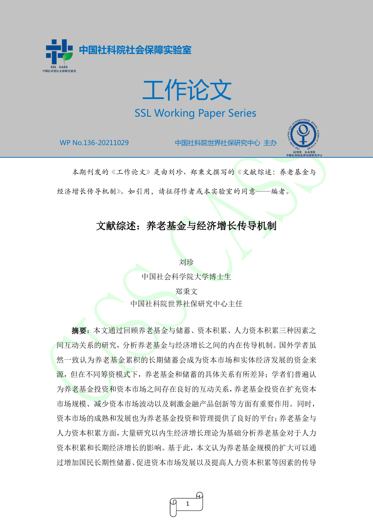

工作论文 SSL Working Paper Series

F

WP No.136-20211029 中国社科院世界社保研究中心 主办



本期刊发的《工作论文》是由刘珍、郑秉文撰写的《文献综述:养老基金与

经济增长传导机制》。如引用,请征得作者或本实验室的同意——编者。

# 文献综述:养老基金与经济增长传导机制

刘珍 中国社会科学院大学博士生 郑秉文 中国社科院世界社保研究中心主任

摘要:本文通过回顾养老基金与储蓄、资本积累、人力资本积累三种因素之 间互动关系的研究,分析养老基金与经济增长之间的内在传导机制。国外学者虽 然一致认为养老基金累积的长期储蓄会成为资本市场和实体经济发展的资金来 源,但在不同筹资模式下,养老基金和储蓄的具体关系有所差异;学者们普遍认 为养老基金投资和资本市场之间存在良好的互动关系,养老基金投资在扩充资本 市场规模、减少资本市场波动以及刺激金融产品创新等方面有重要作用。同时, 资本市场的成熟和发展也为养老基金投资和管理提供了良好的平台;养老基金与 人力资本积累方面,大量研究以内生经济增长理论为基础分析养老基金对于人力 资本积累和长期经济增长的影响。基于此,本文认为养老基金规模的扩大可以通 过增加国民长期性储蓄、促进资本市场发展以及提高人力资本积累等因素的传导

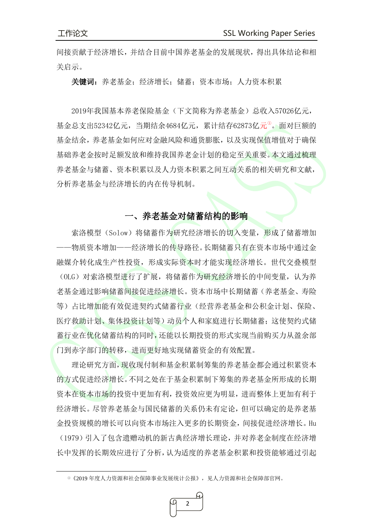间接贡献于经济增长,并结合目前中国养老基金的发展现状,得出具体结论和相 关启示。

关键词:养老基金;经济增长;储蓄;资本市场;人力资本积累

2019年我国基本养老保险基金(下文简称为养老基金)总收入57026亿元, 基金总支出52342亿元,当期结余4684亿元,累计结存62873亿元<sup>0</sup>。面对巨额的 基金结余,养老基金如何应对金融风险和通货膨胀,以及实现保值增值对于确保 基础养老金按时足额发放和维持我国养老金计划的稳定至关重要。本文通过梳理 养老基金与储蓄、资本积累以及人力资本积累之间互动关系的相关研究和文献, 分析养老基金与经济增长的内在传导机制。

## 一、养老基金对储蓄结构的影响

索洛模型(Solow)将储蓄作为研究经济增长的切入变量,形成了储蓄增加 -物质资本增加——经济增长的传导路径。长期储蓄只有在资本市场中通过金 融媒介转化成生产性投资,形成实际资本时才能实现经济增长。世代交叠模型 (OLG) 对索洛模型进行了扩展, 将储蓄作为研究经济增长的中间变量, 认为养 老基金通过影响储蓄间接促进经济增长。资本市场中长期储蓄(养老基金、寿险 等)占比增加能有效促进契约式储蓄行业(经营养老基金和公积金计划、保险、 医疗救助计划、集体投资计划等)动员个人和家庭进行长期储蓄;这使契约式储 蓄行业在优化储蓄结构的同时,还能以长期投资的形式实现当前购买力从盈余部 门到赤字部门的转移,进而更好地实现储蓄资金的有效配置。

理论研究方面,现收现付制和基金积累制筹集的养老基金都会通过积累资本 的方式促进经济增长。不同之处在于基金积累制下筹集的养老基金所形成的长期 资本在资本市场的投资中更加有利,投资效应更为明显,进而整体上更加有利于 经济增长。尽管养老基金与国民储蓄的关系仍未有定论,但可以确定的是养老基 金投资规模的增长可以向资本市场注入更多的长期资金,间接促进经济增长。Hu (1979)引入了包含遗赠动机的新古典经济增长理论,并对养老金制度在经济增 长中发挥的长期效应进行了分析,认为适度的养老基金积累和投资能够通过引起

<span id="page-1-0"></span>①《2019 年度人力资源和社会保障事业发展统计公报》,见人力资源和社会保障部官网。

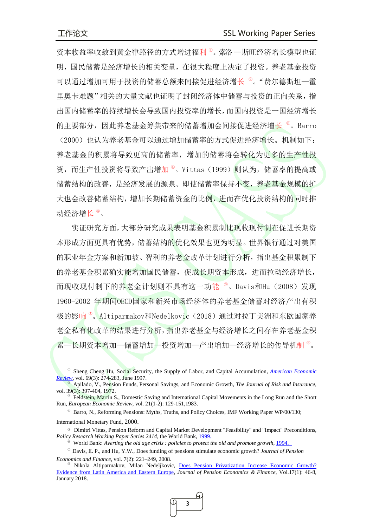资本收益率收敛到黄金律路径的方式增进福利<sup>0</sup>。索洛 一斯旺经济增长模型也证 明,国民储蓄是经济增长的相关变量,在很大程度上决定了投资。养老基金投资 可以通过增加可用于投资的储蓄总额来间接促进经济增长<sup>。</sup>。"费尔德斯坦一霍 里奥卡难题"相关的大量文献也证明了封闭经济体中储蓄与投资的正向关系,指 出国内储蓄率的持续增长会导致国内投资率的增长,而国内投资是一国经济增长 的主要部分,因此养老基金筹集带来的储蓄增加会间接促进经济增长 <sup>®</sup>。Barro (2000)也认为养老基金可以通过增加储蓄率的方式促进经济增长。机制如下: 养老基金的积累将导致更高的储蓄率,增加的储蓄将会转化为更多的生产性投 资,而生产性投资将导致产出增加<sup>4</sup>。Vittas(1999)则认为,储蓄率的提高或 储蓄结构的改善,是经济发展的源泉。即使储蓄率保持不变,养老基金规模的扩 大也会改善储蓄结构,增加长期储蓄资金的比例,进而在优化投资结构的同时推 动经济增长 <sup>[⑤](#page-2-4)</sup>。

实证研究方面,大部分研究成果表明基金积累制比现收现付制在促进长期资 本形成方面更具有优势,储蓄结构的优化效果也更为明显。世界银行通过对美国 的职业年金方案和新加坡、智利的养老金改革计划进行分析,指出基金积累制下 的养老基金积累确实能增加国民储蓄,促成长期资本形成,进而拉动经济增长, 而现收现付制下的养老金计划则不具有这一功能 ®。Davis和Hu(2008)发现 1960-2002 年期间OECD国家和新兴市场经济体的养老基金储蓄对经济产出有积 极的影响<sup>®</sup>。Altiparmakov和Nedelkovic (2018) 通过对拉丁美洲和东欧国家养 老金私有化改革的结果进行分析,指出养老基金与经济增长之间存在养老基金积 累—长期资本增加—储蓄增加—投资增加—产出增加—经济增长的传导机制<sup>®</sup>。

ŗ

<span id="page-2-7"></span>Nikola Altiparmakov, Milan Nedeljkovic, Does Pension Privatization Increase Economic Growth? [Evidence from Latin America and Eastern Europe,](https://ideas.repec.org/p/ces/ceswps/_6074.html) *[Journal of Pension Economics & Finance](https://www.cambridge.org/core/journals/journal-of-pension-economics-and-finance)*, [Vol.17\(](https://www.cambridge.org/core/journals/journal-of-pension-economics-and-finance/volume/FA53562DD107238BAEAAC5B327FF0F72)1): 46-8, January 2018.



<span id="page-2-0"></span><sup>①</sup> Sheng Cheng Hu, [Social Security, the Supply of Labor, and Capital Accumulation](https://ideas.repec.org/a/aea/aecrev/v69y1979i3p274-83.html)*, [American Economic](https://ideas.repec.org/s/aea/aecrev.html)  [Review,](https://ideas.repec.org/s/aea/aecrev.html)* vol. 69(3): 274-283, June 1997.

<span id="page-2-1"></span><sup>②</sup> Apilado, V., Pension Funds, Personal Savings, and Economic Growth, *The Journal of Risk and Insurance*, vol. 39(3): 397-404, 1972.

<span id="page-2-2"></span>Feldstein, Martin S., Domestic Saving and International Capital Movements in the Long Run and the Short Run, *European Economic Review*, vol. 21(1-2): 129-151,1983.

<sup>④</sup> Barro, N., Reforming Pensions: Myths, Truths, and Policy Choices, IMF Working Paper WP/00/130;

<span id="page-2-3"></span>International Monetary Fund, 2000.

<span id="page-2-4"></span><sup>⑤</sup> Dimitri Vittas, Pension Reform and Capital Market Development "Feasibility" and "Impact" Preconditions, *[Policy Research Working Paper Series](https://ideas.repec.org/s/wbk/wbrwps.html) 2414*, the World Bank, 1999.

World Bank: *Averting the old age crisis : policies to protect the old and promote growth*, 1994.

<span id="page-2-6"></span><span id="page-2-5"></span><sup>⑦</sup> Davis, E. P., and Hu, Y.W., Does funding of pensions stimulate economic growth? *Journal of Pension Economics and Finance*, vol. 7(2): 221–249, 2008.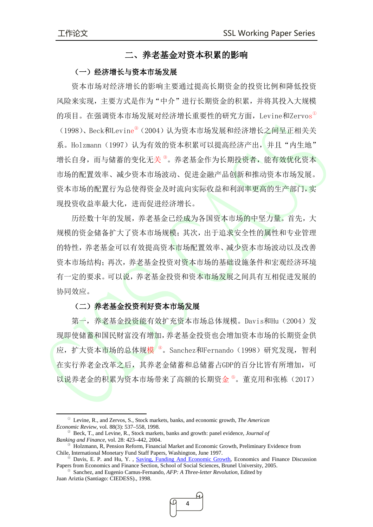## 二、养老基金对资本积累的影响

#### (一)经济增长与资本市场发展

资本市场对经济增长的影响主要通过提高长期资金的投资比例和降低投资 风险来实现,主要方式是作为"中介"进行长期资金的积累,并将其投入大规模 的项目。在强调资本市场发展对经济增长重要性的研究方面,Levine和Zervos[①](#page-3-0) (1998)、Beck和Levine<sup>2</sup> (2004) 认为资本市场发展和经济增长之间呈正相关关 系。Holzmann (1997) 认为有效的资本积累可以提高经济产出, 并且"内生地" 增长自身,而与储蓄的变化无关®。养老基金作为长期投资者,能有效优化资本 市场的配置效率、减少资本市场波动、促进金融产品创新和推动资本市场发展。 资本市场的配置行为总使得资金及时流向实际收益和利润率更高的生产部门,实 现投资收益率最大化,进而促进经济增长。

历经数十年的发展,养老基金已经成为各国资本市场的中坚力量。首先,大 规模的资金储备扩大了资本市场规模;其次,出于追求安全性的属性和专业管理 的特性,养老基金可以有效提高资本市场配置效率、减少资本市场波动以及改善 资本市场结构;再次,养老基金投资对资本市场的基础设施条件和宏观经济环境 有一定的要求。可以说,养老基金投资和资本市场发展之间具有互相促进发展的 协同效应。

#### (二)养老基金投资利好资本市场发展

第一,养老基金投资能有效扩充资本市场总体规模。Davis和Hu (2004) 发 现即使储蓄和国民财富没有增加,养老基金投资也会增加资本市场的长期资金供 应, 扩大资本市场的总体规模<sup>®</sup>。Sanchez和Fernando (1998) 研究发现, 智利 在实行养老金改革之后,其养老金储蓄和总储蓄占GDP的百分比皆有所增加,可 以说养老金的积累为资本市场带来了高额的长期资金®。董克用和张栋(2017)

<span id="page-3-4"></span><sup>⑤</sup> Sanchez, and Eugenio Camus-Fernando, *AFP: A Three-letter Revolution*, Edited by Juan Ariztia (Santiago: CIEDESS)., 1998.



<span id="page-3-0"></span><sup>①</sup> Levine, R., and Zervos, S., Stock markets, banks, and economic growth, *The American Economic Review*, vol. 88(3): 537–558, 1998.

<span id="page-3-1"></span><sup>②</sup> Beck, T., and Levine, R., Stock markets, banks and growth: panel evidence, *Journal of Banking and Finance*, vol. 28: 423–442, 2004.

<span id="page-3-2"></span> $\textcircled{}$  Holzmann, R, Pension Reform, Financial Market and Economic Growth, Preliminary Evidence from Chile, International Monetary Fund Staff Papers, Washington, June 1997.

<span id="page-3-3"></span><sup>&</sup>lt;sup>®</sup> Davis, E. P. and Hu, Y., [Saving, Funding And Economic Growth,](https://ideas.repec.org/p/bru/bruedp/05-02.html) Economics and Finance Discussion [Papers](https://econpapers.repec.org/paper/brubruedp/) from Economics and Finance Section, School of Social Sciences, Brunel University, 2005.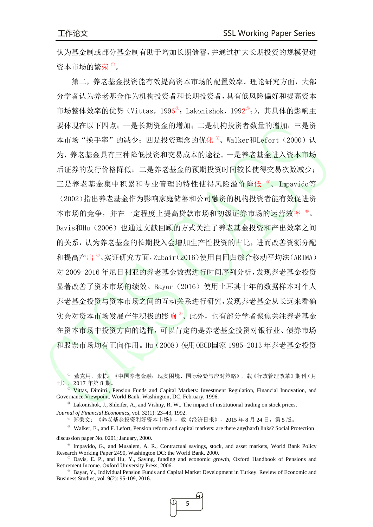$\overline{a}$ 

认为基金制或部分基金制有助于增加长期储蓄,并通过扩大长期投资的规模促进 资本市场的繁荣<sup>1</sup>。

第二,养老基金投资能有效提高资本市场的配置效率。理论研究方面,大部 分学者认为养老基金作为机构投资者和长期投资者,具有低风险偏好和提高资本 市场整体效率的优势(Vittas, 1996<sup>2</sup>; Lakonishok, 1992<sup>3</sup>;), 其具体的影响主 要体现在以下四点;一是长期资金的增加;二是机构投资者数量的增加;三是资 本市场"换手率"的减少; 四是投资理念的优化 <sup>4</sup>。Walker和Lefort (2000) 认 为,养老基金具有三种降低投资和交易成本的途径。一是养老基金进入资本市场 后证券的发行价格降低;二是养老基金的预期投资时间较长使得交易次数减少; 三是养老基金集中积累和专业管理的特性使得风险溢价降低 <sup>5</sup>。Impavido等 (2002)指出养老基金作为影响家庭储蓄和公司融资的机构投资者能有效促进资 本市场的竞争,并在一定程度上提高贷款市场和初级证券市场的运营效率 [⑥](#page-4-5)。 Davis和Hu (2006) 也通过文献回顾的方式关注了养老基金投资和产出效率之间 的关系,认为养老基金的长期投入会增加生产性投资的占比,进而改善资源分配 和提高产出 <sup>®</sup>。实证研究方面,Zubair(2016)使用自回归综合移动平均法(ARIMA) 对 2009-2016 年尼日利亚的养老基金数据进行时间序列分析,发现养老基金投资 显著改善了资本市场的绩效。Bayar(2016)使用土耳其十年的数据样本对个人 养老基金投资与资本市场之间的互动关系进行研究,发现养老基金从长远来看确 实会对资本市场发展产生积极的影响 ®。此外,也有部分学者聚焦关注养老基金 在资本市场中投资方向的选择,可以肯定的是养老基金投资对银行业、债券市场 和股票市场均有正向作用。Hu(2008)使用OECD国家 1985-2013 年养老基金投资

<span id="page-4-7"></span><sup>⑧</sup> Bayar, Y., Individual Pension Funds and Capital Market Development in Turkey. Review of Economic and Business Studies, vol. 9(2): 95-109, 2016.



<span id="page-4-0"></span><sup>①</sup> 董克用,张栋:《中国养老金融:现实困境、国际经验与应对策略》,载《行政管理改革》期刊(月 刊),<sup>2017</sup> 年第 <sup>8</sup> 期。 <sup>②</sup> Vittas, Dimitri., Pension Funds and Capital Markets: Investment Regulation, Financial Innovation, and

<span id="page-4-1"></span>Governance.Viewpoint. World Bank, Washington, DC, February, 1996.

<span id="page-4-2"></span><sup>③</sup> Lakonishok, J., Shleifer, A., and Vishny, R. W., The impact of institutional trading on stock prices, *Journal of Financial Economics*, vol. 32(1): 23–43, 1992.

<sup>④</sup> 郑秉文:《养老基金投资利好资本市场》,载《经济日报》,2015 年 8 月 24 日,第 5 版。

<span id="page-4-4"></span><span id="page-4-3"></span><sup>⑤</sup> Walker, E., and F. Lefort, Pension reform and capital markets: are there any(hard) links? Social Protection discussion paper No. 0201; January, 2000.

<span id="page-4-5"></span><sup>⑥</sup> Impavido, G., and Musalem, A. R., Contractual savings, stock, and asset markets, World Bank Policy Research Working Paper 2490, Washington DC: the World Bank, 2000.

<span id="page-4-6"></span> $\textcircled{ }$  Davis, E. P., and Hu, Y., Saving, funding and economic growth, Oxford Handbook of Pensions and Retirement Income. Oxford University Press, 2006.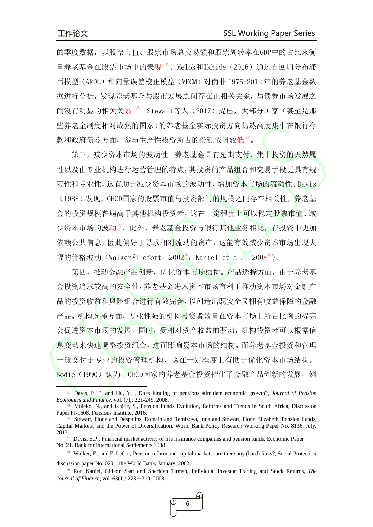的季度数据,以股票市值、股票市场总交易额和股票周转率在GDP中的占比来衡 量养老基金在股票市场中的表现<sup>0</sup>。Melok和Ikhide(2016)通过自回归分布滞 后模型(ARDL)和向量误差校正模型(VECM)对南非 1975-2012年的养老基金数 据进行分析,发现养老基金与股市发展之间存在正相关关系,与债券市场发展之 间没有明显的相关关系 2. Stewart等人 (2017) 提出, 大部分国家(甚至是那 些养老金制度相对成熟的国家)的养老基金实际投资方向仍然高度集中在银行存 款和政府债券方面,参与生产性投资所占的份额依旧较低<sup>®</sup>。

第三,减少资本市场的波动性。养老基金具有延期支付、集中投资的天然属 性以及由专业机构进行运营管理的特点,其投资的产品组合和交易手段更具有规 范性和专业性,这有助于减少资本市场的波动性、增加资本市场的流动性。Davis (1988)发现,OECD国家的股票市值与投资部门的规模之间存在相关性,养老基 金的投资规模普遍高于其他机构投资者,这在一定程度上可以稳定股票市值、减 少资本市场的波动<sup>®</sup>。此外,养老基金投资与银行其他业务相比,在投资中更加 依赖公共信息,因此偏好于寻求相对流动的资产,这能有效减少资本市场出现大 幅的价格波动(Walker和Lefort, 200<mark>2</mark>®, Kaniel et al., 2008®)。

第四,推动金融产品创新,优化资本市场结构。产品选择方面,由于养老基 金投资追求较高的安全性,养老基金进入资本市场有利于推动资本市场对金融产 品的投资收益和风险组合进行有效完善,以创造出既安全又拥有收益保障的金融 产品。机构选择方面,专业性强的机构投资者数量在资本市场上所占比例的提高 会促进资本市场的发展。同时,受相对资产收益的驱动,机构投资者可以根据信 息变动来快速调整投资组合,进而影响资本市场的结构。而养老基金投资和管理 一般交付于专业的投资管理机构,这在一定程度上有助于优化资本市场结构。 Bodie(1990)认为, OECD国家的养老基金投资催生了金融产品创新的发展, 例

<span id="page-5-5"></span><sup>⑥</sup> [Ron Kaniel,](https://econpapers.repec.org/RAS/pka1052.htm) Gideon Saar and [Sheridan Titman,](https://econpapers.repec.org/RAS/pti51.htm) Individual Investor Trading and Stock Returns, *The Journal of Finance, vol.* 63(1): 273-310, 2008.



<span id="page-5-0"></span><sup>①</sup> Davis, E. P. and Hu, Y. , Does funding of pensions stimulate economic growth?, *Journal of Pension Economics and Finance*, vol. (7),: 221-249, 2008.

<span id="page-5-1"></span><sup>②</sup> Moleko, N., and Ikhide, S., Pension Funds Evolution, Reforms and Trends in South Africa, Discussion Paper PI-1608. Pensions Institute, 2016.

<span id="page-5-2"></span><sup>③</sup> Stewart, Fiona and Despalins, Romain and Remizova, Inna and Stewart, Fiona Elizabeth, Pension Funds, Capital Markets, and the Power of Diversification. World Bank Policy Research Working Paper No. 8136, July, 2017.

<span id="page-5-3"></span><sup>④</sup> Davis, E.P., Financial market activity of life insurance companies and pension funds, Economic Paper No. 21. Bank for International Settlements,1988.

<span id="page-5-4"></span><sup>⑤</sup> Walker, E., and F. Lefort, Pension reform and capital markets: are there any (hard) links?, Social Protection discussion paper No. 0201, the World Bank, January, 2002.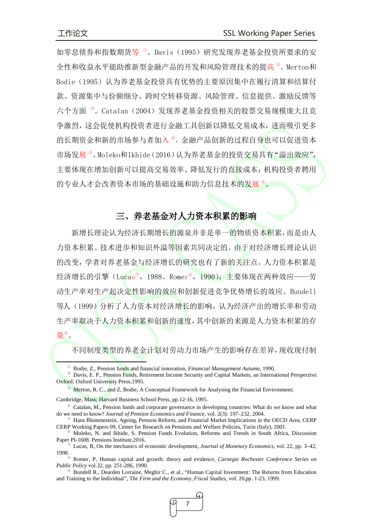ŀ

如零息债券和指数期货等<sup>0</sup>。Davis(1995)研究发现养老基金投资所要求的安 全性和收益水平能助推新型金融产品的开发和风险管理技术的提高 [②](#page-6-1)。Merton和 Bodie(1995)认为养老基金投资具有优势的主要原因集中在履行清算和结算付 款、资源集中与份额细分、跨时空转移资源、风险管理、信息提供、激励反馈等 六个方面 <sup>®</sup>。Catalan (2004) 发现养老基金投资相关的股票交易规模庞大且竞 争激烈,这会促使机构投资者进行金融工具创新以降低交易成本,进而吸引更多 的长期资金和新的市场参与者加入<sup>®</sup>,金融产品创新的过程自身也可以促进资本 市场发展®。Moleko和Ikhide(2016)认为养老基金的投资交易具有"溢出效应", 主要体现在增加创新可以提高交易效率、降低发行的直接成本;机构投资者聘用 的专业人才会改善资本市场的基础设施和助力信息技术的发展®。

# 三、养老基金对人力资本积累的影响

新增长理论认为经济长期增长的源泉并非是单一的物质资本积累,而是由人 力资本积累、技术进步和知识外溢等因素共同决定的。由于对经济增长理论认识 的改变,学者对养老基金与经济增长的研究也有了新的关注点。人力资本积累是 经济增长的引擎(Lucas<sup>®</sup>,1988、Romer®,1990),主要体现在两种效应——劳 动生产率对生产起决定性影响的效应和创新促进竞争优势增长的效应。Bundell 等人(1999)分析了人力资本对经济增长的影响,认为经济产出的增长率和劳动 生产率取决于人力资本积累和创新的速度,其中创新的来源是人力资本积累的存 量[⑨](#page-6-8) 。

不同制度类型的养老金计划对劳动力市场产生的影响存在差异,现收现付制

<span id="page-6-2"></span>Cambridge, Mass; Harvard Business School Press, pp.12-16, 1995.

<span id="page-6-8"></span><sup>⑨</sup> Bundell R., Dearden Lorraine, Meghir C., et al., "Human Capital Investment: The Returns from Education and Training to the Individual", T*he Firm and the Economy, Fiscal Studies*, vol. 20,pp. 1-23, 1999.



<sup>①</sup> Bodie, Z., Pension funds and financial innovation, *Financial Management Autumn*, 1990.

<span id="page-6-1"></span><span id="page-6-0"></span><sup>&</sup>lt;sup>2</sup> Davis, E. P., Pension Funds, Retirement Income Security and Capital Markets, an International Perspective. Oxford: Oxford University Press,1995.

<sup>&</sup>lt;sup>®</sup> Merton, R. C., and Z, Bodie, A Conceptual Framework for Analysing the Financial Environment;

<span id="page-6-3"></span> $\degree$  Catalan, M., Pension funds and corporate governance in developing countries: What do we know and what do we need to know? *Journal of Pension Economics and Finance*, vol. 2(3): 197–232, 2004.

<span id="page-6-4"></span><sup>⑤</sup> Hans Blommestein, [Ageing, Pension Reform, and Financial Market Implications in the OECD Area, CERP](https://ideas.repec.org/p/crp/wpaper/09.html) [CERP Working Papers](https://ideas.repec.org/s/crp/wpaper.html) 09, Center for Research on Pensions and Welfare Policies, Turin (Italy), 2001.

<span id="page-6-5"></span><sup>⑥</sup> Moleko, N. and Ikhide, S. [Pension Funds Evolution, Reforms and Trends in South Africa,](https://pdfs.semanticscholar.org/75c6/f2da747ce7770efcb45fe03f5c390df08f82.pdf) Discussion [Paper PI-1608. Pensions](https://pdfs.semanticscholar.org/75c6/f2da747ce7770efcb45fe03f5c390df08f82.pdf) Institute,2016.

<span id="page-6-6"></span> $\degree$  Lucas, R, On the mechanics of economic development, *Journal of Monetary Economics*, vol. 22, pp. 3–42, 1998.

<span id="page-6-7"></span><sup>⑧</sup> Romer, P, Human capital and growth: theory and evidence, *Carnegie Rochester Conference Series on Public Policy* vol.32, pp. 251-286, 1990.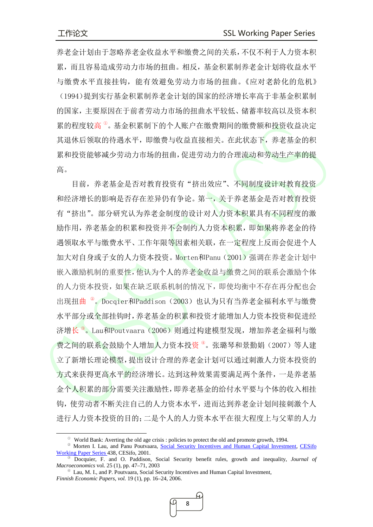养老金计划由于忽略养老金收益水平和缴费之间的关系,不仅不利于人力资本积 累,而且容易造成劳动力市场的扭曲。相反,基金积累制养老金计划将收益水平 与缴费水平直接挂钩,能有效避免劳动力市场的扭曲。《应对老龄化的危机》 (1994)提到实行基金积累制养老金计划的国家的经济增长率高于非基金积累制 的国家,主要原因在于前者劳动力市场的扭曲水平较低、储蓄率较高以及资本积 累的程度较高®。基金积累制下的个人账户在缴费期间的缴费额和投资收益决定 其退休后领取的待遇水平,即缴费与收益直接相关。在此状态下,养老基金的积 累和投资能够减少劳动力市场的扭曲,促进劳动力的合理流动和劳动生产率的提 高。

目前,养老基金是否对教育投资有"挤出效应"、不同制度设计对教育投资 和经济增长的影响是否存在差异仍有争论。第一,关于养老基金是否对教育投资 有"挤出"。部分研究认为养老金制度的设计对人力资本积累具有不同程度的激 励作用,养老基金的积累和投资并不会制约人力资本积累,即如果将养老金的待 遇领取水平与缴费水平、工作年限等因素相关联,在一定程度上反而会促进个人 加大对自身或子女的人力资本投资。Morten和Panu(2001)强调在养老金计划中 嵌入激励机制的重要性,他认为个人的养老金收益与缴费之间的联系会激励个体 的人力资本投资,如果在缺乏联系机制的情况下,即使均衡中不存在再分配也会 出现扭曲<sup>。</sup>。Docqier和Paddison (2003) 也认为只有当养老金福利水平与缴费 水平部分或全部挂钩时,养老基金的积累和投资才能增加人力资本投资和促进经 济增长®。Lau和Poutvaara(2006)则通过构建模型发现,增加养老金福利与缴 费之间的联系会鼓励个人增加人力资本投资<sup>®</sup>。张璐琴和景勤娟(2007)等人建 立了新增长理论模型,提出设计合理的养老金计划可以通过刺激人力资本投资的 方式来获得更高水平的经济增长。达到这种效果需要满足两个条件,一是养老基 金个人积累的部分需要关注激励性,即养老基金的给付水平要与个体的收入相挂 钩,使劳动者不断关注自己的人力资本水平,进而达到养老金计划间接刺激个人 进行人力资本投资的目的;二是个人的人力资本水平在很大程度上与父辈的人力

<sup>①</sup> World Bank: Averting the old age crisis : policies to protect the old and promote growth, 1994.

<span id="page-7-1"></span><span id="page-7-0"></span><sup>②</sup> Morten I. Lau, and Panu Poutvaara, [Social Security Incentives and Human Capital Investment,](https://ideas.repec.org/p/ces/ceswps/_438.html) [CESifo](https://ideas.repec.org/s/ces/ceswps.html)  [Working Paper Series](https://ideas.repec.org/s/ces/ceswps.html) 438, CESifo, 2001.

<span id="page-7-2"></span><sup>③</sup> Docquier, F. and O. Paddison, Social Security benefit rules, growth and inequality, *Journal of Macroeconomics* vol. 25 (1), pp. 47–71, 2003

<span id="page-7-3"></span> $\Phi$  Lau, M. I., and P. Poutvaara, Social Security Incentives and Human Capital Investment, *Finnish Economic Papers, vol.* 19 (1), pp. 16–24, 2006.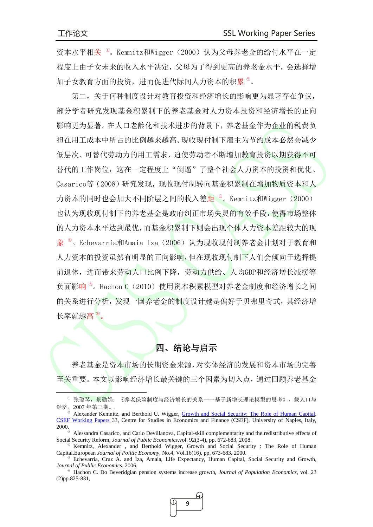资本水平相关 <sup>1</sup>。Kemnitz和Wigger (2000) 认为父母养老金的给付水平在一定 程度上由子女未来的收入水平决定,父母为了得到更高的养老金水平,会选择增 加子女教育方面的投资,进而促进代际间人力资本的积累<sup>2</sup>。

第二,关于何种制度设计对教育投资和经济增长的影响更为显著存在争议, 部分学者研究发现基金积累制下的养老基金对人力资本投资和经济增长的正向 影响更为显著。在人口老龄化和技术进步的背景下,养老基金作为企业的税费负 担在用工成本中所占的比例越来越高。现收现付制下雇主为节约成本必然会减少 低层次、可替代劳动力的用工需求,迫使劳动者不断增加教育投资以期获得不可 替代的工作岗位,这在一定程度上"倒逼"了整个社会人力资本的投资和优化。 Casarico等(2008)研究发现,现收现付制转向基金积累制在增加物质资本和人 力资本的同时也会加大不同阶层之间的收入差<mark>距®。Kemnitz和Wigger(2000)</mark> 也认为现收现付制下的养老基金是政府纠正市场失灵的有效手段,使得市场整体 的人力资本水平达到最优,而基金积累制下则会出现个体人力资本差距较大的现 象<sup>®</sup>。Echevarria和Amaia Iza (2006)认为现收现付制养老金计划对于教育和 人力资本的投资虽然有明显的正向影响,但在现收现付制下人们会倾向于选择提 前退休,进而带来劳动人口比例下降,劳动力供给、人均GDP和经济增长减缓等 负面影响<sup>5</sup>。Hachon C (2010) 使用资本积累模型对养老金制度和经济增长之间 的关系进行分析,发现一国养老金的制度设计越是偏好于贝弗里奇式,其经济增 长率就越高 。<br>。

# 四、结论与启示

养老基金是资本市场的长期资金来源,对实体经济的发展和资本市场的完善 至关重要。本文以影响经济增长最关键的三个因素为切入点,通过回顾养老基金

<span id="page-8-5"></span><sup>⑥</sup> Hachon C. Do Beveridgian pension systems increase growth, *Journal of Population Economics*, vol. 23 (2)pp.825-831,



<span id="page-8-0"></span><sup>&</sup>lt;sup>0</sup> 张璐琴, 景勤娟: 《养老保险制度与经济增长的关系一一基于新增长理论模型的思考》,载人口与 经济,2007 年第三期。.

<span id="page-8-1"></span><sup>&</sup>lt;sup>2</sup> Alexander Kemnitz, and Berthold U. Wigger, [Growth and Social Security: The Role of Human Capital,](https://ideas.repec.org/p/sef/csefwp/33.html) [CSEF Working Papers](https://ideas.repec.org/s/sef/csefwp.html) 33, Centre for Studies in Economics and Finance (CSEF), University of Naples, Italy, 2000.

<span id="page-8-2"></span><sup>③</sup> Alessandra Casarico, and Carlo Devillanova, Capital-skill complementarity and the redistributive effects of Social Security Reform, *Journal of Public Economics*,vol. 92(3-4), pp. 672-683, 2008.

<span id="page-8-3"></span> $\Phi$  Kemnitz, Alexander, and Berthold Wigger, Growth and Social Security : The Role of Human Capital.European *Journal of Politic Economy*, No.4, Vol.16(16), pp. 673-683, 2000.

<span id="page-8-4"></span><sup>⑤</sup> Echevarría, Cruz A. and Iza, Amaia, Life Expectancy, Human Capital, Social Security and Growth, *Journal of Public Economics*, 2006.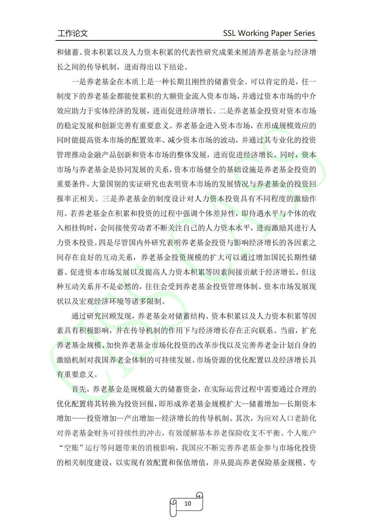和储蓄、资本积累以及人力资本积累的代表性研究成果来厘清养老基金与经济增 长之间的传导机制,进而得出以下结论。

一是养老基金在本质上是一种长期且刚性的储蓄资金。可以肯定的是,任一 制度下的养老基金都能使累积的大额资金流入资本市场,并通过资本市场的中介 效应助力于实体经济的发展,进而促进经济增长。二是养老基金投资对资本市场 的稳定发展和创新完善有重要意义。养老基金进入资本市场,在形成规模效应的 同时能提高资本市场的配置效率、减少资本市场的波动,并通过其专业化的投资 管理推动金融产品创新和资本市场的整体发展,进而促进经济增长。同时,资本 市场与养老基金是协同发展的关系,资本市场健全的基础设施是养老基金投资的 重要条件,大量国别的实证研究也表明资本市场的发展情况与养老基金的投资回 报率正相关。三是养老基金的制度设计对人力资本投资具有不同程度的激励作 用。若养老基金在积累和投资的过程中强调个体差异性,即待遇水平与个体的收 入相挂钩时,会间接使劳动者不断关注自己的人力资本水平,进而激励其进行人 力资本投资。四是尽管国内外研究表明养老基金投资与影响经济增长的各因素之 间存在良好的互动关系,养老基金投资规模的扩大可以通过增加国民长期性储 蓄、促进资本市场发展以及提高人力资本积累等因素间接贡献于经济增长。但这 种互动关系并不是必然的,往往会受到养老基金投资管理体制、资本市场发展现 状以及宏观经济环境等诸多限制。

通过研究回顾发现,养老基金对储蓄结构、资本积累以及人力资本积累等因 素具有积极影响,并在传导机制的作用下与经济增长存在正向联系。当前,扩充 养老基金规模、加快养老基金市场化投资的改革步伐以及完善养老金计划自身的 激励机制对我国养老金体制的可持续发展、市场资源的优化配置以及经济增长具 有重要意义。

首先,养老基金是规模最大的储蓄资金,在实际运营过程中需要通过合理的 优化配置将其转换为投资回报,即形成养老基金规模扩大—储蓄增加—长期资本 增加——投资增加—产出增加—经济增长的传导机制。其次,为应对人口老龄化 对养老基金财务可持续性的冲击,有效缓解基本养老保险收支不平衡、个人账户 "空账"运行等问题带来的消极影响,我国应不断完善养老基金参与市场化投资 的相关制度建设,以实现有效配置和保值增值,并从提高养老保险基金规模、专

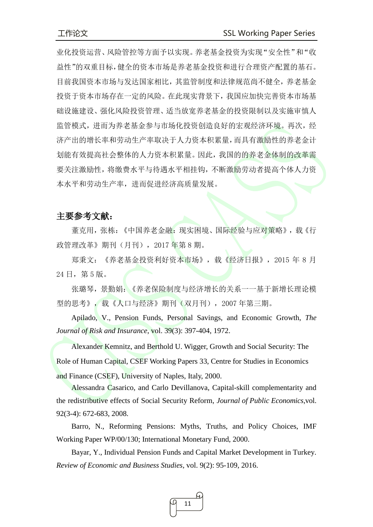业化投资运营、风险管控等方面予以实现。养老基金投资为实现"安全性"和"收 益性"的双重目标,健全的资本市场是养老基金投资和进行合理资产配置的基石。 目前我国资本市场与发达国家相比,其监管制度和法律规范尚不健全,养老基金 投资于资本市场存在一定的风险。在此现实背景下,我国应加快完善资本市场基 础设施建设、强化风险投资管理、适当放宽养老基金的投资限制以及实施审慎人 监管模式,进而为养老基金参与市场化投资创造良好的宏观经济环境。再次,经 济产出的增长率和劳动生产率取决于人力资本积累量,而具有激励性的养老金计 划能有效提高社会整体的人力资本积累量。因此,我国的的养老金体制的改革需 要关注激励性,将缴费水平与待遇水平相挂钩,不断激励劳动者提高个体人力资 本水平和劳动生产率,进而促进经济高质量发展。

## 主要参考文献:

董克用,张栋:《中国养老金融:现实困境、国际经验与应对策略》,载《行 政管理改革》期刊(月刊),2017 年第 8 期。

郑秉文: 《养老基金投资利好资本市场》,载《经济日报》, 2015 年 8 月 24 日,第 5 版。

张璐琴,景勤娟:《养老保险制度与经济增长的关系一一基于新增长理论模 型的思考》,载《人口与经济》期刊(双月刊),2007 年第三期。

Apilado, V., Pension Funds, Personal Savings, and Economic Growth, *The Journal of Risk and Insurance*, vol. 39(3): 397-404, 1972.

Alexander Kemnitz, and Berthold U. Wigger, [Growth and Social Security: The](https://ideas.repec.org/p/sef/csefwp/33.html)  [Role of Human Capital,](https://ideas.repec.org/p/sef/csefwp/33.html) [CSEF Working Papers](https://ideas.repec.org/s/sef/csefwp.html) 33, Centre for Studies in Economics and Finance (CSEF), University of Naples, Italy, 2000.

Alessandra Casarico, and Carlo Devillanova, Capital-skill complementarity and the redistributive effects of Social Security Reform, *Journal of Public Economics*,vol. 92(3-4): 672-683, 2008.

Barro, N., Reforming Pensions: Myths, Truths, and Policy Choices, IMF Working Paper WP/00/130; International Monetary Fund, 2000.

Bayar, Y., Individual Pension Funds and Capital Market Development in Turkey. *Review of Economic and Business Studies*, vol. 9(2): 95-109, 2016.

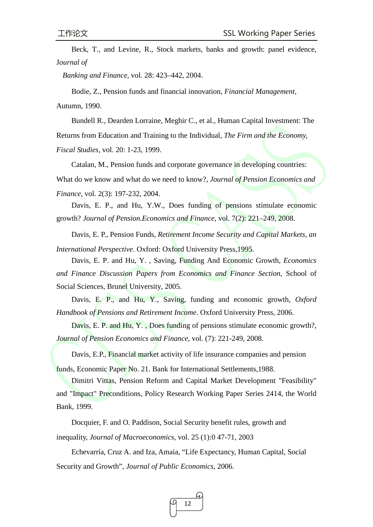Beck, T., and Levine, R., Stock markets, banks and growth: panel evidence, J*ournal of*

*Banking and Finance*, vol. 28: 423–442, 2004.

Bodie, Z., Pension funds and financial innovation, *Financial Management,* Autumn, 1990.

Bundell R., Dearden Lorraine, Meghir C., et al., Human Capital Investment: The Returns from Education and Training to the Individual, *The Firm and the Economy, Fiscal Studies*, vol. 20: 1-23, 1999.

Catalan, M., Pension funds and corporate governance in developing countries: What do we know and what do we need to know?, *Journal of Pension Economics and Finance*, vol. 2(3): 197-232, 2004.

Davis, E. P., and Hu, Y.W., Does funding of pensions stimulate economic growth? *Journal of Pension.Economics and Finance*, vol. 7(2): 221–249, 2008.

Davis, E. P., Pension Funds, *Retirement Income Security and Capital Markets, an International Perspective*. Oxford: Oxford University Press,1995.

Davis, E. P. and Hu, Y. , Saving, Funding And Economic Growth, *Economics and Finance Discussion Papers from Economics and Finance Section*, School of Social Sciences, Brunel University, 2005.

Davis, E. P., and Hu, Y., Saving, funding and economic growth, *Oxford Handbook of Pensions and Retirement Income*. Oxford University Press, 2006.

Davis, E. P. and Hu, Y., Does funding of pensions stimulate economic growth?, *Journal of Pension Economics and Finance*, vol. (7): 221-249, 2008.

Davis, E.P., Financial market activity of life insurance companies and pension

funds, Economic Paper No. 21. Bank for International Settlements,1988.

Dimitri Vittas, Pension Reform and Capital Market Development "Feasibility" and "Impact" Preconditions, Policy Research Working Paper Series 2414, the World Bank, 1999.

Docquier, F. and O. Paddison, Social Security benefit rules, growth and inequality, *Journal of Macroeconomics,* vol. 25 (1):0 47-71, 2003

Echevarría, Cruz A. and Iza, Amaia, "Life Expectancy, Human Capital, Social Security and Growth", *Journal of Public Economics*, 2006.

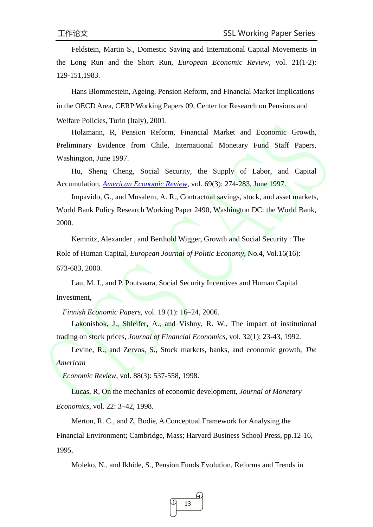Feldstein, Martin S., Domestic Saving and International Capital Movements in the Long Run and the Short Run, *European Economic Review*, vol. 21(1-2): 129-151,1983.

Hans Blommestein, Ageing, Pension Reform, and Financial Market Implications in the OECD Area, CERP Working Papers 09, Center for Research on Pensions and Welfare Policies, Turin (Italy), 2001.

Holzmann, R, Pension Reform, Financial Market and Economic Growth, Preliminary Evidence from Chile, International Monetary Fund Staff Papers, Washington, June 1997.

Hu, Sheng Cheng, [Social Security, the Supply of Labor, and Capital](https://ideas.repec.org/a/aea/aecrev/v69y1979i3p274-83.html)  [Accumulation,](https://ideas.repec.org/a/aea/aecrev/v69y1979i3p274-83.html) *[American Economic Review,](https://ideas.repec.org/s/aea/aecrev.html)* vol. 69(3): 274-283, June 1997.

Impavido, G., and Musalem, A. R., Contractual savings, stock, and asset markets, World Bank Policy Research Working Paper 2490, Washington DC: the World Bank, 2000.

Kemnitz, Alexander , and Berthold Wigger, Growth and Social Security : The Role of Human Capital, *European Journal of Politic Economy*, No.4, Vol.16(16): 673-683, 2000.

Lau, M. I., and P. Poutvaara, Social Security Incentives and Human Capital Investment,

*Finnish Economic Papers*, vol. 19 (1): 16–24, 2006.

Lakonishok, J., Shleifer, A., and Vishny, R. W., The impact of institutional trading on stock prices, *Journal of Financial Economics*, vol. 32(1): 23-43, 1992.

Levine, R., and Zervos, S., Stock markets, banks, and economic growth, *The American*

*Economic Review*, vol. 88(3): 537-558, 1998.

Lucas, R, On the mechanics of economic development, *Journal of Monetary Economics*, vol. 22: 3–42, 1998.

Merton, R. C., and Z, Bodie, A Conceptual Framework for Analysing the Financial Environment; Cambridge, Mass; Harvard Business School Press, pp.12-16, 1995.

Moleko, N., and Ikhide, S., Pension Funds Evolution, Reforms and Trends in

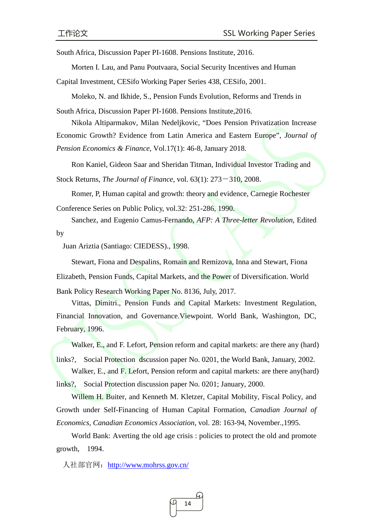South Africa, Discussion Paper PI-1608. Pensions Institute, 2016.

Morten I. Lau, and Panu Poutvaara, [Social Security Incentives and Human](https://ideas.repec.org/p/ces/ceswps/_438.html) 

[Capital Investment,](https://ideas.repec.org/p/ces/ceswps/_438.html) [CESifo Working Paper Series](https://ideas.repec.org/s/ces/ceswps.html) 438, CESifo, 2001.

[Moleko, N. and Ikhide, S., Pension Funds Evolution, Reforms and Trends in](https://pdfs.semanticscholar.org/75c6/f2da747ce7770efcb45fe03f5c390df08f82.pdf) 

[South Africa, Discussion Paper PI-1608. Pensions Institute,2016.](https://pdfs.semanticscholar.org/75c6/f2da747ce7770efcb45fe03f5c390df08f82.pdf)

Nikola Altiparmakov, Milan Nedeljkovic, "Does Pension Privatization Increase

Economic Growth? Evidence from Latin America and Eastern Europe", *Journal of* 

*Pension Economics & Finance*, Vol.17(1): 46-8, January 2018.

Ron Kaniel, Gideon Saar and Sheridan Titman, Individual Investor Trading and

Stock Returns, *The Journal of Finance*, vol. 63(1): 273-310, 2008.

Romer, P, Human capital and growth: theory and evidence, Carnegie Rochester

Conference Series on Public Policy, vol.32: 251-286, 1990.

Sanchez, and Eugenio Camus-Fernando, *AFP: A Three-letter Revolution*, Edited by

Juan Ariztia (Santiago: CIEDESS)., 1998.

Stewart, Fiona and Despalins, Romain and Remizova, Inna and Stewart, Fiona Elizabeth, Pension Funds, Capital Markets, and the Power of Diversification. World Bank Policy Research Working Paper No. 8136, July, 2017.

Vittas, Dimitri., Pension Funds and Capital Markets: Investment Regulation, Financial Innovation, and Governance.Viewpoint. World Bank, Washington, DC, February, 1996.

Walker, E., and F. Lefort, Pension reform and capital markets: are there any (hard)

links?, Social Protection discussion paper No. 0201, the World Bank, January, 2002.

Walker, E., and F. Lefort, Pension reform and capital markets: are there any (hard) links?, Social Protection discussion paper No. 0201; January, 2000.

Willem H. Buiter, and Kenneth M. Kletzer, Capital Mobility, Fiscal Policy, and Growth under Self-Financing of Human Capital Formation, *Canadian Journal of Economics, Canadian Economics Association*, vol. 28: 163-94, November.,1995.

World Bank: Averting the old age crisis : policies to protect the old and promote growth, 1994.

人社部官网: <http://www.mohrss.gov.cn/>